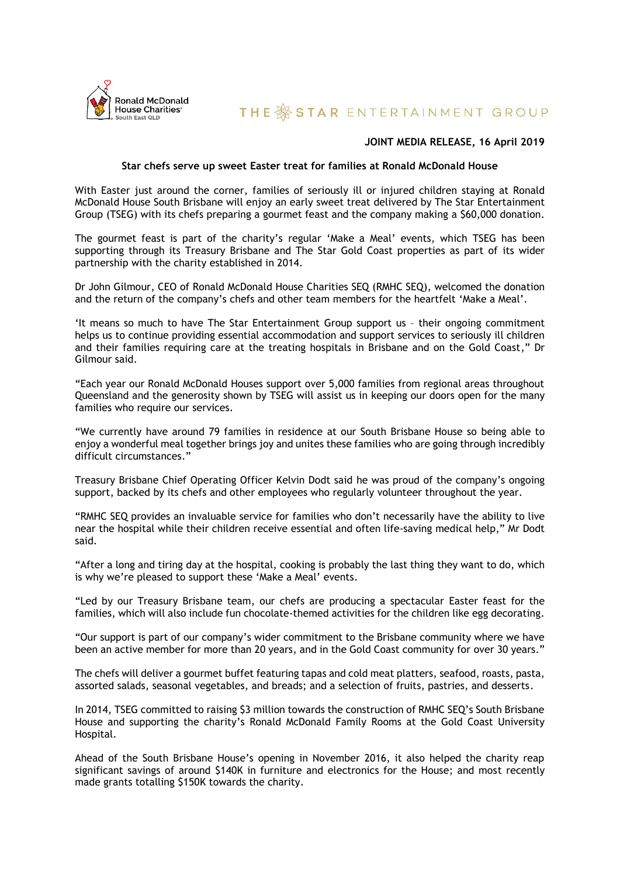

# **THE SSTAR ENTERTAINMENT GROUP**

## **JOINT MEDIA RELEASE, 16 April 2019**

### **Star chefs serve up sweet Easter treat for families at Ronald McDonald House**

With Easter just around the corner, families of seriously ill or injured children staying at Ronald McDonald House South Brisbane will enjoy an early sweet treat delivered by The Star Entertainment Group (TSEG) with its chefs preparing a gourmet feast and the company making a \$60,000 donation.

The gourmet feast is part of the charity's regular 'Make a Meal' events, which TSEG has been supporting through its Treasury Brisbane and The Star Gold Coast properties as part of its wider partnership with the charity established in 2014.

Dr John Gilmour, CEO of Ronald McDonald House Charities SEQ (RMHC SEQ), welcomed the donation and the return of the company's chefs and other team members for the heartfelt 'Make a Meal'.

'It means so much to have The Star Entertainment Group support us – their ongoing commitment helps us to continue providing essential accommodation and support services to seriously ill children and their families requiring care at the treating hospitals in Brisbane and on the Gold Coast," Dr Gilmour said.

"Each year our Ronald McDonald Houses support over 5,000 families from regional areas throughout Queensland and the generosity shown by TSEG will assist us in keeping our doors open for the many families who require our services.

"We currently have around 79 families in residence at our South Brisbane House so being able to enjoy a wonderful meal together brings joy and unites these families who are going through incredibly difficult circumstances.'

Treasury Brisbane Chief Operating Officer Kelvin Dodt said he was proud of the company's ongoing support, backed by its chefs and other employees who regularly volunteer throughout the year.

"RMHC SEQ provides an invaluable service for families who don't necessarily have the ability to live near the hospital while their children receive essential and often life-saving medical help," Mr Dodt said.

"After a long and tiring day at the hospital, cooking is probably the last thing they want to do, which is why we're pleased to support these 'Make a Meal' events.

"Led by our Treasury Brisbane team, our chefs are producing a spectacular Easter feast for the families, which will also include fun chocolate-themed activities for the children like egg decorating.

"Our support is part of our company's wider commitment to the Brisbane community where we have been an active member for more than 20 years, and in the Gold Coast community for over 30 years."

The chefs will deliver a gourmet buffet featuring tapas and cold meat platters, seafood, roasts, pasta, assorted salads, seasonal vegetables, and breads; and a selection of fruits, pastries, and desserts.

In 2014, TSEG committed to raising \$3 million towards the construction of RMHC SEQ's South Brisbane House and supporting the charity's Ronald McDonald Family Rooms at the Gold Coast University Hospital.

Ahead of the South Brisbane House's opening in November 2016, it also helped the charity reap significant savings of around \$140K in furniture and electronics for the House; and most recently made grants totalling \$150K towards the charity.